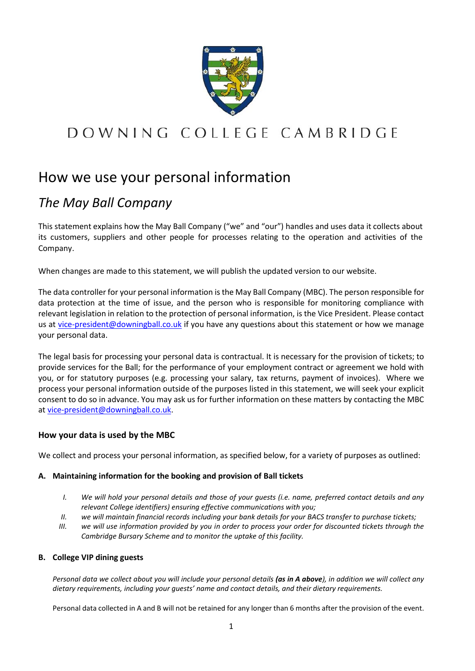

# DOWNING COLLEGE CAMBRIDGE

# How we use your personal information

# *The May Ball Company*

This statement explains how the May Ball Company ("we" and "our") handles and uses data it collects about its customers, suppliers and other people for processes relating to the operation and activities of the Company.

When changes are made to this statement, we will publish the updated version to our website.

The data controller for your personal information is the May Ball Company (MBC). The person responsible for data protection at the time of issue, and the person who is responsible for monitoring compliance with relevant legislation in relation to the protection of personal information, is the Vice President. Please contact us at [vice-president@downingball.co.uk](mailto:vice-president@downingball.co.uk) if you have any questions about this statement or how we manage your personal data.

The legal basis for processing your personal data is contractual. It is necessary for the provision of tickets; to provide services for the Ball; for the performance of your employment contract or agreement we hold with you, or for statutory purposes (e.g. processing your salary, tax returns, payment of invoices). Where we process your personal information outside of the purposes listed in this statement, we will seek your explicit consent to do so in advance. You may ask us for further information on these matters by contacting the MBC at [vice-president@downingball.co.uk.](mailto:vice-president@downingball.co.uk)

# **How your data is used by the MBC**

We collect and process your personal information, as specified below, for a variety of purposes as outlined:

# **A. Maintaining information for the booking and provision of Ball tickets**

- *I. We will hold your personal details and those of your guests (i.e. name, preferred contact details and any relevant College identifiers) ensuring effective communications with you;*
- *II. we will maintain financial records including your bank details for your BACS transfer to purchase tickets;*
- *III. we will use information provided by you in order to process your order for discounted tickets through the Cambridge Bursary Scheme and to monitor the uptake of this facility.*

#### **B. College VIP dining guests**

*Personal data we collect about you will include your personal details (as in A above), in addition we will collect any dietary requirements, including your guests' name and contact details, and their dietary requirements.* 

Personal data collected in A and B will not be retained for any longer than 6 months after the provision of the event.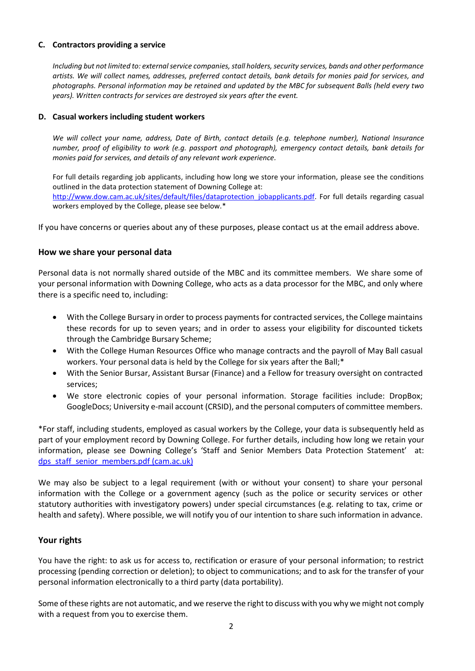#### **C. Contractors providing a service**

*Including but not limited to: external service companies, stall holders, security services, bands and other performance artists. We will collect names, addresses, preferred contact details, bank details for monies paid for services, and photographs. Personal information may be retained and updated by the MBC for subsequent Balls (held every two years). Written contracts for services are destroyed six years after the event.*

#### **D. Casual workers including student workers**

*We will collect your name, address, Date of Birth, contact details (e.g. telephone number), National Insurance number, proof of eligibility to work (e.g. passport and photograph), emergency contact details, bank details for monies paid for services, and details of any relevant work experience.*

For full details regarding job applicants, including how long we store your information, please see the conditions outlined in the data protection statement of Downing College at: [http://www.dow.cam.ac.uk/sites/default/files/dataprotection\\_jobapplicants.pdf.](http://www.dow.cam.ac.uk/sites/default/files/dataprotection_jobapplicants.pdf) For full details regarding casual workers employed by the College, please see below.\*

If you have concerns or queries about any of these purposes, please contact us at the email address above.

# **How we share your personal data**

Personal data is not normally shared outside of the MBC and its committee members. We share some of your personal information with Downing College, who acts as a data processor for the MBC, and only where there is a specific need to, including:

- With the College Bursary in order to process payments for contracted services, the College maintains these records for up to seven years; and in order to assess your eligibility for discounted tickets through the Cambridge Bursary Scheme;
- With the College Human Resources Office who manage contracts and the payroll of May Ball casual workers. Your personal data is held by the College for six years after the Ball;\*
- With the Senior Bursar, Assistant Bursar (Finance) and a Fellow for treasury oversight on contracted services;
- We store electronic copies of your personal information. Storage facilities include: DropBox; GoogleDocs; University e-mail account (CRSID), and the personal computers of committee members.

\*For staff, including students, employed as casual workers by the College, your data is subsequently held as part of your employment record by Downing College. For further details, including how long we retain your information, please see Downing College's 'Staff and Senior Members Data Protection Statement' at: [dps\\_staff\\_senior\\_members.pdf \(cam.ac.uk\)](https://www.dow.cam.ac.uk/sites/default/files/dps_staff_senior_members.pdf)

We may also be subject to a legal requirement (with or without your consent) to share your personal information with the College or a government agency (such as the police or security services or other statutory authorities with investigatory powers) under special circumstances (e.g. relating to tax, crime or health and safety). Where possible, we will notify you of our intention to share such information in advance.

# **Your rights**

You have the right: to ask us for access to, rectification or erasure of your personal information; to restrict processing (pending correction or deletion); to object to communications; and to ask for the transfer of your personal information electronically to a third party (data portability).

Some of these rights are not automatic, and we reserve the right to discuss with you why we might not comply with a request from you to exercise them.